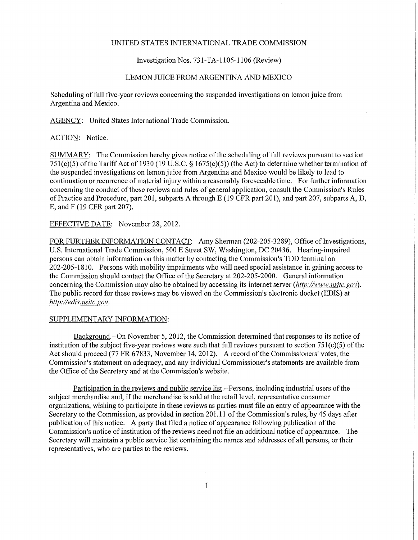# UNITED STATES INTERNATIONAL TRADE COMMISSION

## Investigation Nos. 731-TA-l 105-1106 (Review)

#### LEMON JUICE FROM ARGENTINA AND MEXICO

Scheduling of full five-year reviews concerning the suspended investigations on lemon juice from Argentina and Mexico.

AGENCY: United States International Trade Commission.

### ACTION: Notice.

SUMMARY: The Commission hereby gives notice of the scheduling of full reviews pursuant to section 751(c)(5) ofthe Tariff Act of 1930 (19 U.S.C. § 1675(c)(5)) (the Act) to determine whether termination of the suspended investigations on lemon juice from Argentina and Mexico would be likely to lead to continuation or recurrence of material injury within a reasonably foreseeable time. For further information concerning the conduct of these reviews and rules of general application, consult the Commission's Rules of Practice and Procedure, part 201, subparts A through E (19 CFR part 201), and part 207, subparts A, D, E, and F (19 CFR part 207).

EFFECTIVE DATE: November 28, 2012.

FOR FURTHER INFORMATION CONTACT: Amy Sherman (202-205-3289), Office of Investigations, U.S. International Trade Commission, 500 E Street SW, Washington, DC 20436. Hearing-impaired persons can obtain information on this matter by contacting the Commission's TDD terminal on 202-205-1810. Persons with mobility impairments who will need special assistance in gaining access to the Commission should contact the Office of the Secretary at 202-205-2000. General information concerning the Commission may also be obtained by accessing its internet server *(http://www. usitc.gov).*  The public record for these reviews may be viewed on the Commission's electronic docket (EDIS) at *http://edis. usitc. gov.* 

#### SUPPLEMENTARY INFORMATION:

Background.—On November 5, 2012, the Commission determined that responses to its notice of institution of the subject five-year reviews were such that full reviews pursuant to section 751(c)(5) of the Act should proceed (77 FR 67833, November 14, 2012). A record of the Commissioners' votes, the Commission's statement on adequacy, and any individual Commissioner's statements are available from the Office of the Secretary and at the Commission's website.

Participation in the reviews and public service list.--Persons, including industrial users of the subject merchandise and, if the merchandise is sold at the retail level, representative consumer organizations, wishing to participate in these reviews as parties must file an entry of appearance with the Secretary to the Commission, as provided in section 201.11 of the Commission's rules, by 45 days after publication of this notice. A party that filed a notice of appearance following publication of the Commission's notice of institution of the reviews need not file an additional notice of appearance. The Secretary will maintain a public service list containing the names and addresses of all persons, or their representatives, who are parties to the reviews.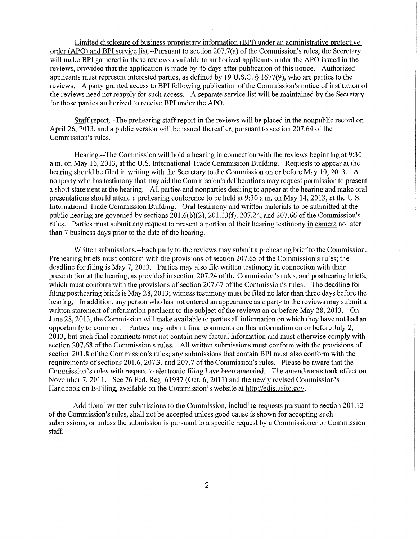Limited disclosure of business proprietary information (BPI) under an administrative protective order (APO) and BPI service list.--Pursuant to section 207.7(a) of the Commission's rules, the Secretary will make BPI gathered in these reviews available to authorized applicants under the APO issued in the reviews, provided that the application is made by 45 days after publication of this notice. Authorized applicants must represent interested parties, as defined by 19 U.S.C. § 1677(9), who are parties to the reviews. A party granted access to BPI following publication of the Commission's notice of institution of the reviews need not reapply for such access. A separate service list will be maintained by the Secretaiy for those parties authorized to receive BPI under the APO.

Staff report.—The prehearing staff report in the reviews will be placed in the nonpublic record on April 26, 2013, and a public version will be issued thereafter, pursuant to section 207.64 of the Commission's rules.

Hearing.—The Commission will hold a hearing in connection with the reviews beginning at 9:30 a.m. on May 16, 2013, at the U.S. International Trade Commission Building. Requests to appear at the hearing should be filed in writing with the Secretary to the Commission on or before May 10, 2013. A nonparty who has testimony that may aid the Commission's deliberations may request permission to present a short statement at the hearing. All parties and nonparties desiring to appear at the hearing and make oral presentations should attend a prehearing conference to be held at 9:30 a.m. on May 14,2013, at the U.S. International Trade Commission Building. Oral testimony and written materials to be submitted at the public hearing are governed by sections  $201.6(b)(2)$ ,  $201.13(f)$ ,  $207.24$ , and  $207.66$  of the Commission's rules. Parties must submit any request to present a portion of their hearing testimony in camera no later than 7 business days prior to the date of the hearing.

Written submissions.-Each party to the reviews may submit a prehearing brief to the Commission. Prehearing briefs must conform with the provisions of section 207.65 of the Commission's rules; the deadline for filing is May 7, 2013. Parties may also file written testimony in connection with their presentation at the hearing, as provided in section 207.24 of the Commission's rules, and posthearing briefs, which must conform with the provisions of section 207.67 of the Commission's rules. The deadline for filing posthearing briefs is May 28,2013; witness testimony must be filed no later than three days before the hearing. In addition, any person who has not entered an appearance as a party to the reviews may submit a written statement of information pertinent to the subject of the reviews on or before May 28, 2013. On June 28,2013, the Commission will make available to parties all information on which they have not had an opportunity to comment. Parties may submit final comments on this information on or before July 2, 2013, but such final comments must not contain new factual information and must otherwise comply with section 207.68 of the Commission's rules. All written submissions must conform with the provisions of section 201.8 of the Commission's rules; any submissions that contain BPI must also conform with the requirements of sections 201.6, 207.3, and 207.7 of the Commission's rules. Please be aware that the Commission's rules with respect to electronic filing have been amended. The amendments took effect on November 7, 2011. See 76 Fed. Reg. 61937 (Oct. 6, 2011) and the newly revised Commission's Handbook on E-Filing, available on the Commission's website at http://edis.usitc.gov.

Additional written submissions to the Commission, including requests pursuant to section 201.12 of the Commission's rules, shall not be accepted unless good cause is shown for accepting such submissions, or unless the submission is pursuant to a specific request by a Commissioner or Commission staff.